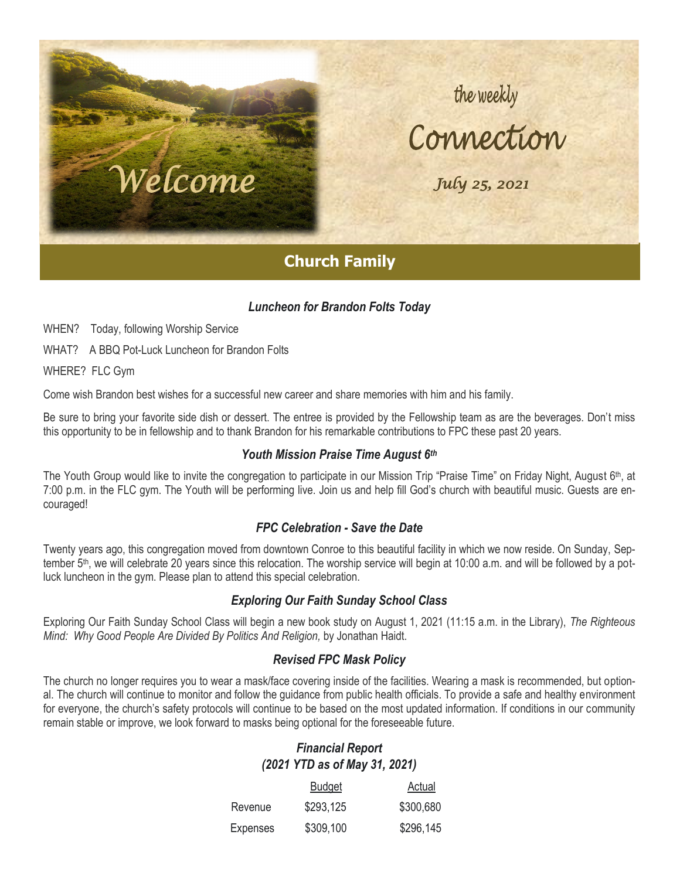# the weekly<br>Connection

 *July 25, 2021* 

## **Church Family**

### *Luncheon for Brandon Folts Today*

WHEN? Today, following Worship Service

WHAT? A BBQ Pot-Luck Luncheon for Brandon Folts

 *•* 

*Welcome* 

 $\blacksquare$ 

 *1* 

WHERE? FLC Gym

Come wish Brandon best wishes for a successful new career and share memories with him and his family.

Be sure to bring your favorite side dish or dessert. The entree is provided by the Fellowship team as are the beverages. Don't miss this opportunity to be in fellowship and to thank Brandon for his remarkable contributions to FPC these past 20 years.

#### *Youth Mission Praise Time August 6th*

The Youth Group would like to invite the congregation to participate in our Mission Trip "Praise Time" on Friday Night, August 6th, at 7:00 p.m. in the FLC gym. The Youth will be performing live. Join us and help fill God's church with beautiful music. Guests are encouraged!

### *FPC Celebration - Save the Date*

Twenty years ago, this congregation moved from downtown Conroe to this beautiful facility in which we now reside. On Sunday, September 5<sup>th</sup>, we will celebrate 20 years since this relocation. The worship service will begin at 10:00 a.m. and will be followed by a potluck luncheon in the gym. Please plan to attend this special celebration.

#### *Exploring Our Faith Sunday School Class*

Exploring Our Faith Sunday School Class will begin a new book study on August 1, 2021 (11:15 a.m. in the Library), *The Righteous Mind: Why Good People Are Divided By Politics And Religion,* by Jonathan Haidt.

#### *Revised FPC Mask Policy*

The church no longer requires you to wear a mask/face covering inside of the facilities. Wearing a mask is recommended, but optional. The church will continue to monitor and follow the guidance from public health officials. To provide a safe and healthy environment for everyone, the church's safety protocols will continue to be based on the most updated information. If conditions in our community remain stable or improve, we look forward to masks being optional for the foreseeable future.

## *Financial Report (2021 YTD as of May 31, 2021)*

|                 | <b>Budget</b> | Actual    |
|-----------------|---------------|-----------|
| Revenue         | \$293,125     | \$300,680 |
| <b>Expenses</b> | \$309,100     | \$296,145 |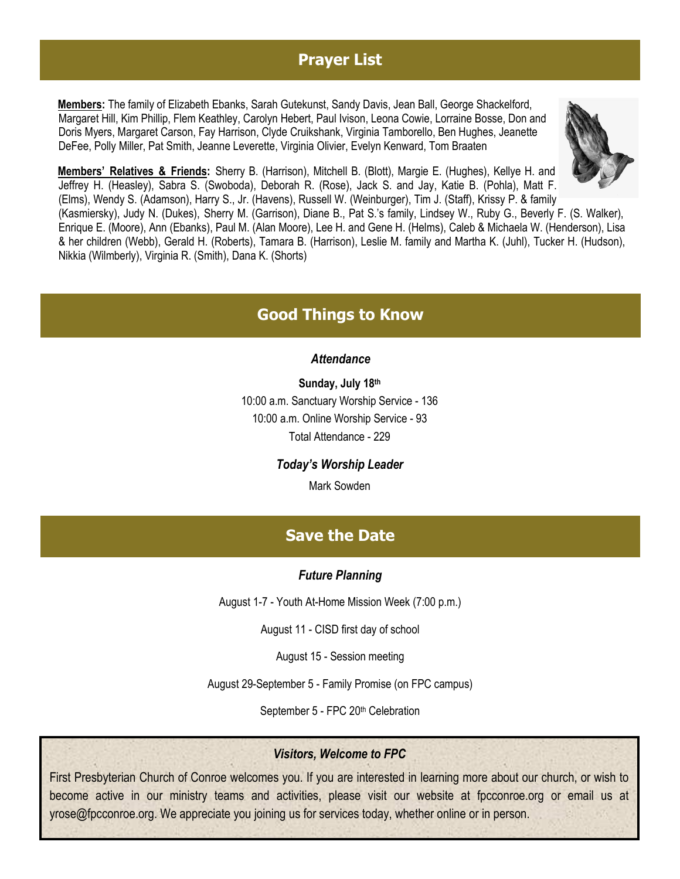## **Prayer List**

**Members:** The family of Elizabeth Ebanks, Sarah Gutekunst, Sandy Davis, Jean Ball, George Shackelford, Margaret Hill, Kim Phillip, Flem Keathley, Carolyn Hebert, Paul Ivison, Leona Cowie, Lorraine Bosse, Don and Doris Myers, Margaret Carson, Fay Harrison, Clyde Cruikshank, Virginia Tamborello, Ben Hughes, Jeanette DeFee, Polly Miller, Pat Smith, Jeanne Leverette, Virginia Olivier, Evelyn Kenward, Tom Braaten



**Members' Relatives & Friends:** Sherry B. (Harrison), Mitchell B. (Blott), Margie E. (Hughes), Kellye H. and Jeffrey H. (Heasley), Sabra S. (Swoboda), Deborah R. (Rose), Jack S. and Jay, Katie B. (Pohla), Matt F. (Elms), Wendy S. (Adamson), Harry S., Jr. (Havens), Russell W. (Weinburger), Tim J. (Staff), Krissy P. & family

(Kasmiersky), Judy N. (Dukes), Sherry M. (Garrison), Diane B., Pat S.'s family, Lindsey W., Ruby G., Beverly F. (S. Walker), Enrique E. (Moore), Ann (Ebanks), Paul M. (Alan Moore), Lee H. and Gene H. (Helms), Caleb & Michaela W. (Henderson), Lisa & her children (Webb), Gerald H. (Roberts), Tamara B. (Harrison), Leslie M. family and Martha K. (Juhl), Tucker H. (Hudson), Nikkia (Wilmberly), Virginia R. (Smith), Dana K. (Shorts)

## **Good Things to Know**

### *Attendance*

**Sunday, July 18th** 10:00 a.m. Sanctuary Worship Service - 136 10:00 a.m. Online Worship Service - 93 Total Attendance - 229

*Today's Worship Leader*

Mark Sowden

## **Save the Date**

## *Future Planning*

August 1-7 - Youth At-Home Mission Week (7:00 p.m.)

August 11 - CISD first day of school

August 15 - Session meeting

August 29-September 5 - Family Promise (on FPC campus)

September 5 - FPC 20<sup>th</sup> Celebration

## *Visitors, Welcome to FPC*

First Presbyterian Church of Conroe welcomes you. If you are interested in learning more about our church, or wish to become active in our ministry teams and activities, please visit our website at fpcconroe.org or email us at yrose@fpcconroe.org. We appreciate you joining us for services today, whether online or in person.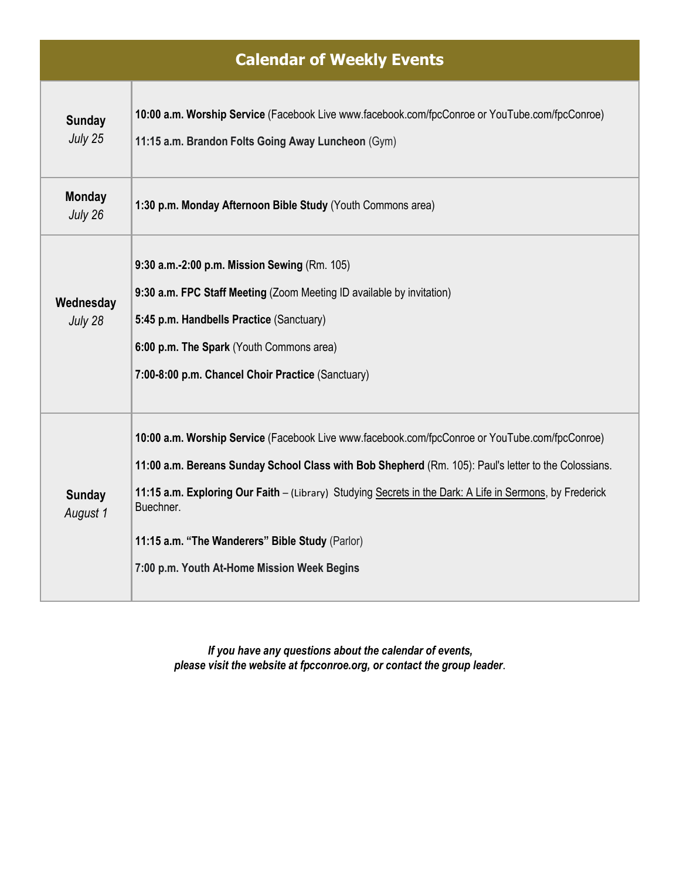| <b>Calendar of Weekly Events</b> |                                                                                                                                                                                                                                                                                                                                                                                                                                   |  |  |
|----------------------------------|-----------------------------------------------------------------------------------------------------------------------------------------------------------------------------------------------------------------------------------------------------------------------------------------------------------------------------------------------------------------------------------------------------------------------------------|--|--|
| <b>Sunday</b><br>July 25         | 10:00 a.m. Worship Service (Facebook Live www.facebook.com/fpcConroe or YouTube.com/fpcConroe)<br>11:15 a.m. Brandon Folts Going Away Luncheon (Gym)                                                                                                                                                                                                                                                                              |  |  |
| <b>Monday</b><br>July 26         | 1:30 p.m. Monday Afternoon Bible Study (Youth Commons area)                                                                                                                                                                                                                                                                                                                                                                       |  |  |
| Wednesday<br>July 28             | 9:30 a.m.-2:00 p.m. Mission Sewing (Rm. 105)<br>9:30 a.m. FPC Staff Meeting (Zoom Meeting ID available by invitation)<br>5:45 p.m. Handbells Practice (Sanctuary)<br>6:00 p.m. The Spark (Youth Commons area)<br>7:00-8:00 p.m. Chancel Choir Practice (Sanctuary)                                                                                                                                                                |  |  |
| <b>Sunday</b><br>August 1        | 10:00 a.m. Worship Service (Facebook Live www.facebook.com/fpcConroe or YouTube.com/fpcConroe)<br>11:00 a.m. Bereans Sunday School Class with Bob Shepherd (Rm. 105): Paul's letter to the Colossians.<br>11:15 a.m. Exploring Our Faith - (Library) Studying Secrets in the Dark: A Life in Sermons, by Frederick<br>Buechner.<br>11:15 a.m. "The Wanderers" Bible Study (Parlor)<br>7:00 p.m. Youth At-Home Mission Week Begins |  |  |

*If you have any questions about the calendar of events, please visit the website at fpcconroe.org, or contact the group leader*.